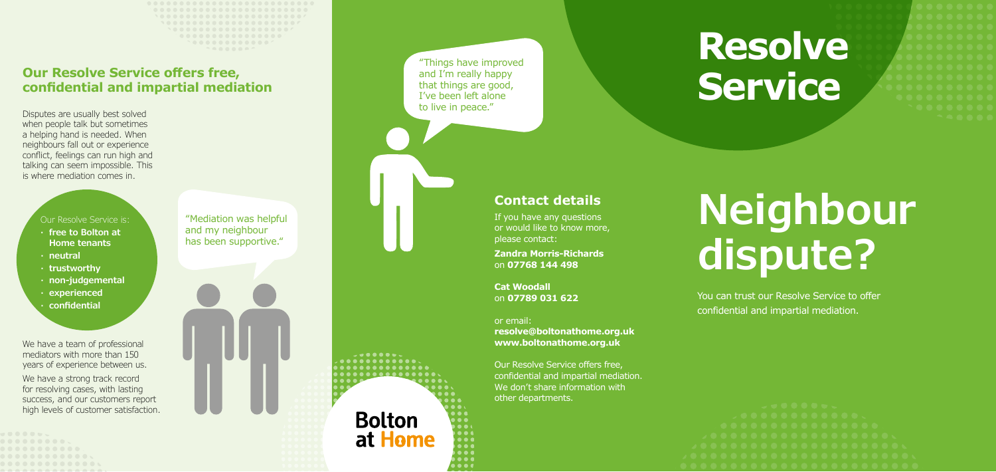# **Contact details**

If you have any questions or would like to know more, please contact:

**Zandra Morris-Richards**  on **07768 144 498** 

**Cat Woodall**  on **07789 031 622**

## or email:

**Bolton** 

at Home

. . . .

**resolve@boltonathome.org.uk www.boltonathome.org.uk**

Our Resolve Service offers free, confidential and impartial mediation. We don't share information with other departments.

"Things have improved and I'm really happy that things are good, I've been left alone to live in peace."

# **Resolve Se rvice**

# **Neighbour dispute?**

We have a team of professional mediators with more than 150 years of experience between us. We have a strong track record for resolving cases, with lasting success, and our customers report high levels of customer satisfaction. You can trust our Resolve Service to offer confidential and impartial mediation.

Disputes are usually best solved when people talk but sometimes a helping hand is needed. When neighbours fall out or experience conflict, feelings can run high and talking can seem impossible. This is where mediation comes in.

# **Our Resolve Service offers free, confidential and impartial mediation**

"Mediation was helpful and my neighbour has been supportive."



## Our Resolve Service is:

- **· free to Bolton at Home tenants**
- **· neutral**
- **· trustworthy**
- **· non-judgemental**
- **· experienced · confidential**